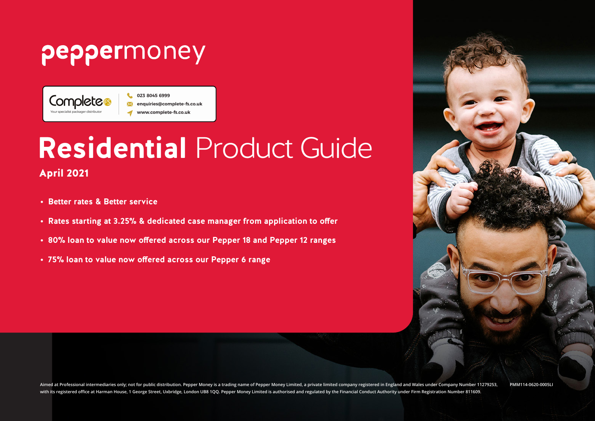## peppermoney

Completes Your specialist packager distribute

023 8045 6999 enquiries@complete-fs.co.uk www.complete-fs.co.uk

# **Residential** Product Guide

### April 2021

- **• Better rates & Better service**
- **• Rates starting at 3.25% & dedicated case manager from application to offer**
- **• 80% loan to value now offered across our Pepper 18 and Pepper 12 ranges**
- **• 75% loan to value now offered across our Pepper 6 range**



**Aimed at Professional intermediaries only; not for public distribution. Pepper Money is a trading name of Pepper Money Limited, a private limited company registered in England and Wales under Company Number 11279253, with its registered office at Harman House, 1 George Street, Uxbridge, London UB8 1QQ. Pepper Money Limited is authorised and regulated by the Financial Conduct Authority under Firm Registration Number 811609. PMM114-0620-0005LI**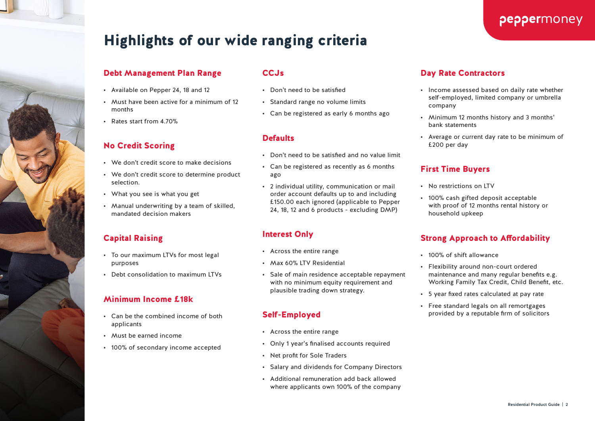### Highlights of our wide ranging criteria

#### Debt Management Plan Range

- Available on Pepper 24, 18 and 12
- Must have been active for a minimum of 12 months
- Rates start from 4.70%

#### No Credit Scoring

- We don't credit score to make decisions
- We don't credit score to determine product selection.
- What you see is what you get
- Manual underwriting by a team of skilled, mandated decision makers

### Capital Raising

- To our maximum LTVs for most legal purposes
- Debt consolidation to maximum LTVs

#### Minimum Income £18k

- Can be the combined income of both applicants
- Must be earned income
- 100% of secondary income accepted

#### CCJs

- Don't need to be satisfied
- Standard range no volume limits
- Can be registered as early 6 months ago

#### **Defaults**

- Don't need to be satisfied and no value limit
- Can be registered as recently as 6 months ago
- 2 individual utility, communication or mail order account defaults up to and including £150.00 each ignored (applicable to Pepper 24, 18, 12 and 6 products - excluding DMP)

#### Interest Only

- Across the entire range
- Max 60% LTV Residential
- Sale of main residence acceptable repayment with no minimum equity requirement and plausible trading down strategy.

#### Self-Employed

- Across the entire range
- Only 1 year's finalised accounts required
- Net profit for Sole Traders
- Salary and dividends for Company Directors
- Additional remuneration add back allowed where applicants own 100% of the company

#### Day Rate Contractors

• Income assessed based on daily rate whether self-employed, limited company or umbrella company

peppermoney

- Minimum 12 months history and 3 months' bank statements
- Average or current day rate to be minimum of £200 per day

#### First Time Buyers

- No restrictions on LTV
- 100% cash gifted deposit acceptable with proof of 12 months rental history or household upkeep

#### Strong Approach to Affordability

- 100% of shift allowance
- Flexibility around non-court ordered maintenance and many regular benefits e.g. Working Family Tax Credit, Child Benefit, etc.
- 5 year fixed rates calculated at pay rate
- Free standard legals on all remortgages provided by a reputable firm of solicitors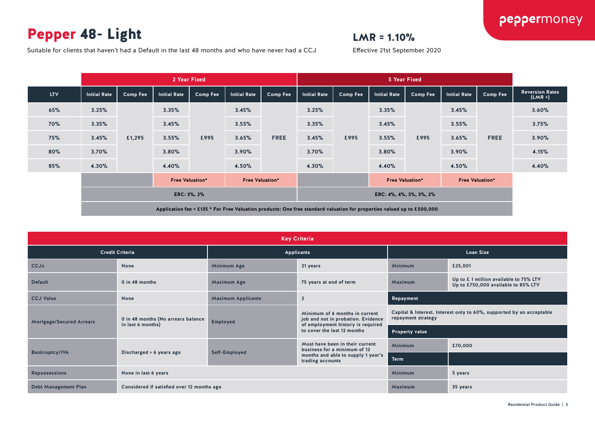### Pepper 48- Light

### $LMR = 1.10%$

Effective 21st September 2020

Suitable for clients that haven't had a Default in the last 48 months and who have never had a CCJ

|            |              |          |                                                  | 2 Year Fixed |                         |                                                  | 5 Year Fixed            |                 |                     |                 |                     |             |                                     |
|------------|--------------|----------|--------------------------------------------------|--------------|-------------------------|--------------------------------------------------|-------------------------|-----------------|---------------------|-----------------|---------------------|-------------|-------------------------------------|
| <b>LTV</b> | Initial Rate | Comp Fee | <b>Initial Rate</b>                              | Comp Fee     | Initial Rate            | <b>Comp Fee</b>                                  | <b>Initial Rate</b>     | <b>Comp Fee</b> | <b>Initial Rate</b> | <b>Comp Fee</b> | <b>Initial Rate</b> | Comp Fee    | <b>Reversion Rates</b><br>$(LMR +)$ |
| 65%        | 3.25%        |          | 3.35%                                            |              | 3.45%                   | 3.25%                                            |                         | 3.35%           |                     | 3.45%           |                     | 3.60%       |                                     |
| <b>70%</b> | 3.35%        |          | 3.45%                                            |              | 3.55%                   |                                                  | 3.35%                   |                 | 3.45%               |                 | 3.55%               |             | 3.75%                               |
| 75%        | 3.45%        | £1,295   | 3.55%                                            | £995         | 3.65%                   | <b>FREE</b>                                      | 3.45%                   | £995            | 3.55%               | £995            | 3.65%               | <b>FREE</b> | 3.90%                               |
| 80%        | 3.70%        |          | 3.80%                                            |              | 3.90%<br>3.70%<br>3.80% | 3.90%                                            |                         | 4.15%           |                     |                 |                     |             |                                     |
| 85%        | 4.30%        |          | 4.40%                                            |              | 4.50%                   |                                                  | 4.30%                   |                 | 4.40%               |                 | 4.50%               |             | 4.40%                               |
|            |              |          | <b>Free Valuation*</b><br><b>Free Valuation*</b> |              |                         | <b>Free Valuation*</b><br><b>Free Valuation*</b> |                         |                 |                     |                 |                     |             |                                     |
|            | ERC: 3%, 2%  |          |                                                  |              |                         |                                                  | ERC: 4%, 4%, 3%, 3%, 2% |                 |                     |                 |                     |             |                                     |
|            |              |          |                                                  |              |                         |                                                  |                         |                 |                     |                 |                     |             |                                     |

| <b>Key Criteria</b>             |                                                         |                                                                                                                                                                                                                            |                                                                 |                  |                                                                              |  |  |  |  |  |
|---------------------------------|---------------------------------------------------------|----------------------------------------------------------------------------------------------------------------------------------------------------------------------------------------------------------------------------|-----------------------------------------------------------------|------------------|------------------------------------------------------------------------------|--|--|--|--|--|
|                                 | <b>Credit Criteria</b>                                  |                                                                                                                                                                                                                            | <b>Applicants</b>                                               | <b>Loan Size</b> |                                                                              |  |  |  |  |  |
| <b>CCJs</b>                     | <b>None</b>                                             | Minimum Age                                                                                                                                                                                                                | 21 years                                                        | <b>Minimum</b>   | £25,001                                                                      |  |  |  |  |  |
| <b>Default</b>                  | 0 in 48 months                                          | Maximum Age                                                                                                                                                                                                                | 75 years at end of term                                         | Maximum          | Up to £1 million available to 75% LTV<br>Up to £750,000 available to 85% LTV |  |  |  |  |  |
| <b>CCJ Value</b>                | <b>None</b>                                             | <b>Maximum Applicants</b>                                                                                                                                                                                                  | $\overline{2}$                                                  | Repayment        |                                                                              |  |  |  |  |  |
| <b>Mortgage/Secured Arrears</b> | 0 in 48 months (No arrears balance<br>in last 6 months) | Capital & Interest. Interest only to 60%, supported by an acceptable<br>Minimum of 6 months in current<br>repayment strategy<br>job and not in probation. Evidence<br><b>Employed</b><br>of employment history is required |                                                                 |                  |                                                                              |  |  |  |  |  |
|                                 |                                                         |                                                                                                                                                                                                                            | to cover the last 12 months                                     | Property value   |                                                                              |  |  |  |  |  |
|                                 |                                                         |                                                                                                                                                                                                                            | Must have been in their current<br>business for a minimum of 12 | <b>Minimum</b>   | £70,000                                                                      |  |  |  |  |  |
| <b>Bankruptcy/IVA</b>           | Discharged > 6 years ago                                | Self-Employed                                                                                                                                                                                                              | months and able to supply 1 year's<br>trading accounts          | <b>Term</b>      |                                                                              |  |  |  |  |  |
| <b>Repossessions</b>            | None in last 6 years                                    |                                                                                                                                                                                                                            |                                                                 | <b>Minimum</b>   | 5 years                                                                      |  |  |  |  |  |
| <b>Debt Management Plan</b>     | Considered if satisfied over 12 months ago              |                                                                                                                                                                                                                            |                                                                 | Maximum          | 35 years                                                                     |  |  |  |  |  |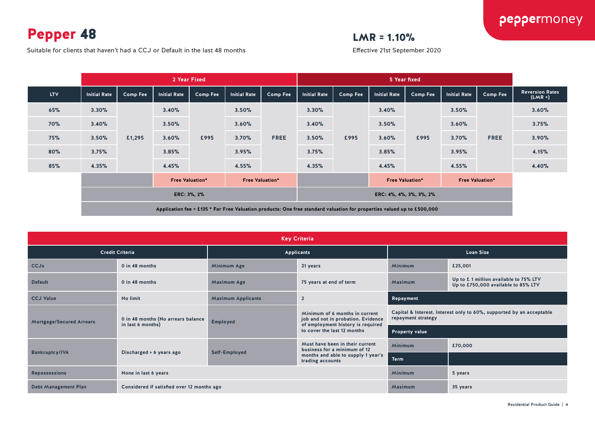Pepper 48

Suitable for clients that haven't had a CCJ or Default in the last 48 months

### $LMR = 1.10%$

Effective 21st September 2020

|            |                                                  |          |                     | 2 Year Fixed    |                     |                                                  | 5 Year fixed            |                 |              |                 |                     |                 |                                     |
|------------|--------------------------------------------------|----------|---------------------|-----------------|---------------------|--------------------------------------------------|-------------------------|-----------------|--------------|-----------------|---------------------|-----------------|-------------------------------------|
| <b>LTV</b> | <b>Initial Rate</b>                              | Comp Fee | <b>Initial Rate</b> | <b>Comp Fee</b> | <b>Initial Rate</b> | <b>Comp Fee</b>                                  | <b>Initial Rate</b>     | <b>Comp Fee</b> | Initial Rate | <b>Comp Fee</b> | <b>Initial Rate</b> | <b>Comp Fee</b> | <b>Reversion Rates</b><br>$(LMR +)$ |
| 65%        | 3.30%                                            |          | 3.40%               |                 | 3.50%               |                                                  | 3.30%                   |                 | 3.40%        |                 | 3.50%               |                 | 3.60%                               |
| <b>70%</b> | 3.40%                                            |          | 3.50%               |                 | 3.60%               |                                                  | 3.40%                   | 3.50%           |              | 3.60%           |                     | 3.75%           |                                     |
| 75%        | 3.50%                                            | £1,295   | 3.60%               | £995            | 3.70%               | <b>FREE</b>                                      | 3.50%                   | £995            | 3.60%        | £995            | 3.70%               | <b>FREE</b>     | 3.90%                               |
| 80%        | 3.75%                                            |          | 3.85%               |                 | 3.95%               |                                                  | 3.75%                   |                 | 3.85%        |                 | 3.95%               |                 | 4.15%                               |
| 85%        | 4.35%                                            |          | 4.45%               |                 | 4.55%               |                                                  | 4.35%                   |                 | 4.45%        |                 | 4.55%               |                 | 4.40%                               |
|            | <b>Free Valuation*</b><br><b>Free Valuation*</b> |          |                     |                 |                     | <b>Free Valuation*</b><br><b>Free Valuation*</b> |                         |                 |              |                 |                     |                 |                                     |
|            | ERC: 3%, 2%                                      |          |                     |                 |                     |                                                  | ERC: 4%, 4%, 3%, 3%, 2% |                 |              |                 |                     |                 |                                     |
|            |                                                  |          |                     |                 |                     |                                                  |                         |                 |              |                 |                     |                 |                                     |

| <b>Key Criteria</b>             |                                                         |                                                                                                                                                                                                                            |                                                                 |                       |                                                                              |  |  |  |  |  |
|---------------------------------|---------------------------------------------------------|----------------------------------------------------------------------------------------------------------------------------------------------------------------------------------------------------------------------------|-----------------------------------------------------------------|-----------------------|------------------------------------------------------------------------------|--|--|--|--|--|
|                                 | <b>Credit Criteria</b>                                  |                                                                                                                                                                                                                            | Applicants                                                      | <b>Loan Size</b>      |                                                                              |  |  |  |  |  |
| <b>CCJs</b>                     | 0 in 48 months                                          | <b>Minimum Age</b>                                                                                                                                                                                                         | 21 years                                                        | <b>Minimum</b>        | £25,001                                                                      |  |  |  |  |  |
| <b>Default</b>                  | 0 in 48 months                                          | <b>Maximum Age</b>                                                                                                                                                                                                         | 75 years at end of term                                         | Maximum               | Up to £1 million available to 75% LTV<br>Up to £750,000 available to 85% LTV |  |  |  |  |  |
| <b>CCJ Value</b>                | No limit                                                | <b>Maximum Applicants</b>                                                                                                                                                                                                  | $\overline{2}$                                                  | Repayment             |                                                                              |  |  |  |  |  |
| <b>Mortgage/Secured Arrears</b> | 0 in 48 months (No arrears balance<br>in last 6 months) | Capital & Interest. Interest only to 60%, supported by an acceptable<br>Minimum of 6 months in current<br>repayment strategy<br>job and not in probation. Evidence<br><b>Employed</b><br>of employment history is required |                                                                 |                       |                                                                              |  |  |  |  |  |
|                                 |                                                         |                                                                                                                                                                                                                            | to cover the last 12 months                                     | <b>Property value</b> |                                                                              |  |  |  |  |  |
|                                 |                                                         |                                                                                                                                                                                                                            | Must have been in their current<br>business for a minimum of 12 | <b>Minimum</b>        | £70,000                                                                      |  |  |  |  |  |
| <b>Bankruptcy/IVA</b>           | Discharged > 6 years ago                                | Self-Employed                                                                                                                                                                                                              | months and able to supply 1 year's<br>trading accounts          | <b>Term</b>           |                                                                              |  |  |  |  |  |
| <b>Repossessions</b>            | None in last 6 years                                    |                                                                                                                                                                                                                            |                                                                 | Minimum               | 5 years                                                                      |  |  |  |  |  |
| <b>Debt Management Plan</b>     | Considered if satisfied over 12 months ago              |                                                                                                                                                                                                                            | Maximum                                                         | 35 years              |                                                                              |  |  |  |  |  |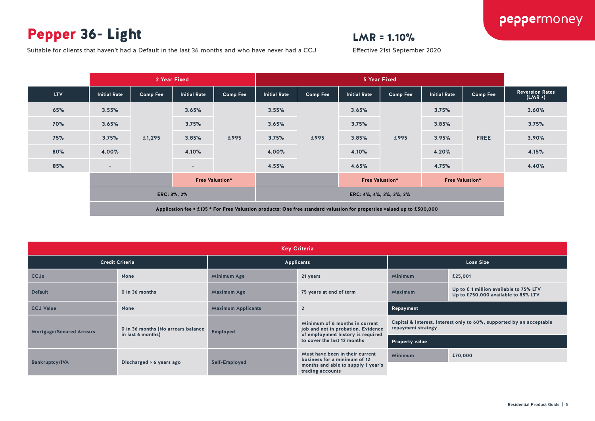### Pepper 36- Light

### $LMR = 1.10%$

Effective 21st September 2020

Suitable for clients that haven't had a Default in the last 36 months and who have never had a CCJ

|            |                          |                 | 2 Year Fixed                                                                                                           |          |                     | <b>5 Year Fixed</b> |                         |                 |                     |             |                                     |
|------------|--------------------------|-----------------|------------------------------------------------------------------------------------------------------------------------|----------|---------------------|---------------------|-------------------------|-----------------|---------------------|-------------|-------------------------------------|
| <b>LTV</b> | <b>Initial Rate</b>      | <b>Comp Fee</b> | <b>Initial Rate</b>                                                                                                    | Comp Fee | <b>Initial Rate</b> | <b>Comp Fee</b>     | <b>Initial Rate</b>     | <b>Comp Fee</b> | <b>Initial Rate</b> | Comp Fee    | <b>Reversion Rates</b><br>$(LMR +)$ |
| 65%        | 3.55%                    |                 | 3.65%                                                                                                                  |          | 3.55%               |                     | 3.65%                   |                 | 3.75%               |             | 3.60%                               |
| <b>70%</b> | 3.65%                    |                 | 3.75%                                                                                                                  |          | 3.65%               | £995                | 3.75%                   |                 | 3.85%               |             | 3.75%                               |
| 75%        | 3.75%                    | £1,295          | 3.85%                                                                                                                  | £995     | 3.75%               |                     | 3.85%                   | £995            | 3.95%               | <b>FREE</b> | 3.90%                               |
| 80%        | 4.00%                    |                 | 4.10%                                                                                                                  |          | 4.00%               |                     | 4.10%                   |                 | 4.20%               |             | 4.15%                               |
| 85%        | $\overline{\phantom{a}}$ |                 | ۰                                                                                                                      |          | 4.55%               |                     | 4.65%                   |                 | 4.75%               |             | 4.40%                               |
|            | <b>Free Valuation*</b>   |                 | <b>Free Valuation*</b><br><b>Free Valuation*</b>                                                                       |          |                     |                     |                         |                 |                     |             |                                     |
|            | ERC: 3%, 2%              |                 |                                                                                                                        |          |                     |                     | ERC: 4%, 4%, 3%, 3%, 2% |                 |                     |             |                                     |
|            |                          |                 | Application fee = £135 * For Free Valuation products: One free standard valuation for properties valued up to £500,000 |          |                     |                     |                         |                 |                     |             |                                     |

| <b>Key Criteria</b>              |                                                         |                                                          |                                                                                                           |                       |                                                                              |  |  |  |  |  |
|----------------------------------|---------------------------------------------------------|----------------------------------------------------------|-----------------------------------------------------------------------------------------------------------|-----------------------|------------------------------------------------------------------------------|--|--|--|--|--|
|                                  | <b>Credit Criteria</b>                                  |                                                          | Applicants                                                                                                | <b>Loan Size</b>      |                                                                              |  |  |  |  |  |
| <b>CCJs</b>                      | None                                                    | Minimum Age                                              | 21 years                                                                                                  | Minimum               | £25,001                                                                      |  |  |  |  |  |
| <b>Default</b><br>0 in 36 months |                                                         | <b>Maximum Age</b>                                       | 75 years at end of term                                                                                   | Maximum               | Up to £1 million available to 75% LTV<br>Up to £750,000 available to 85% LTV |  |  |  |  |  |
| <b>CCJ Value</b><br>None         |                                                         | $\overline{2}$<br><b>Maximum Applicants</b><br>Repayment |                                                                                                           |                       |                                                                              |  |  |  |  |  |
| <b>Mortgage/Secured Arrears</b>  | 0 in 36 months (No arrears balance<br>in last 6 months) | <b>Employed</b>                                          | Minimum of 6 months in current<br>job and not in probation. Evidence<br>of employment history is required | repayment strategy    | Capital & Interest. Interest only to 60%, supported by an acceptable         |  |  |  |  |  |
|                                  |                                                         |                                                          | to cover the last 12 months                                                                               | <b>Property value</b> |                                                                              |  |  |  |  |  |
|                                  |                                                         |                                                          | Must have been in their current<br>business for a minimum of 12                                           | Minimum               | £70,000                                                                      |  |  |  |  |  |
| <b>Bankruptcy/IVA</b>            | Discharged > 6 years ago                                | Self-Employed                                            | months and able to supply 1 year's<br>trading accounts                                                    |                       |                                                                              |  |  |  |  |  |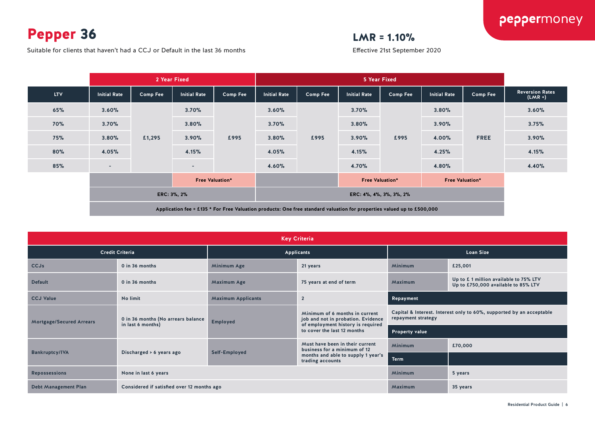Pepper 36

Suitable for clients that haven't had a CCJ or Default in the last 36 months

### LMR = 1.10%

Effective 21st September 2020

|            |                        | 2 Year Fixed    |                          |                                                  |                         | 5 Year Fixed |                     |          |                     |                 |                                     |
|------------|------------------------|-----------------|--------------------------|--------------------------------------------------|-------------------------|--------------|---------------------|----------|---------------------|-----------------|-------------------------------------|
| <b>LTV</b> | <b>Initial Rate</b>    | <b>Comp Fee</b> | <b>Initial Rate</b>      | <b>Comp Fee</b>                                  | <b>Initial Rate</b>     | Comp Fee     | <b>Initial Rate</b> | Comp Fee | <b>Initial Rate</b> | <b>Comp Fee</b> | <b>Reversion Rates</b><br>$(LMR +)$ |
| 65%        | 3.60%                  |                 | 3.70%                    |                                                  | 3.60%                   |              | 3.70%               |          | 3.80%               |                 | 3.60%                               |
| <b>70%</b> | 3.70%                  |                 | 3.80%                    |                                                  | 3.70%                   | £995         | 3.80%               |          | 3.90%               | <b>FREE</b>     | 3.75%                               |
| <b>75%</b> | 3.80%                  | £1,295          | 3.90%                    | £995                                             | 3.80%                   |              | 3.90%               | £995     | 4.00%               |                 | 3.90%                               |
| 80%        | 4.05%                  |                 | 4.15%                    |                                                  | 4.05%                   |              | 4.15%               |          | 4.25%               |                 | 4.15%                               |
| 85%        | $\sim$                 |                 | $\overline{\phantom{a}}$ |                                                  | 4.60%                   |              | 4.70%               |          | 4.80%               |                 | 4.40%                               |
|            | <b>Free Valuation*</b> |                 |                          | <b>Free Valuation*</b><br><b>Free Valuation*</b> |                         |              |                     |          |                     |                 |                                     |
|            | ERC: 3%, 2%            |                 |                          |                                                  | ERC: 4%, 4%, 3%, 3%, 2% |              |                     |          |                     |                 |                                     |
|            |                        |                 |                          |                                                  |                         |              |                     |          |                     |                 |                                     |

| <b>Key Criteria</b>             |                                                         |                           |                                                                                                           |                                                                                            |                                                                               |  |  |  |  |  |
|---------------------------------|---------------------------------------------------------|---------------------------|-----------------------------------------------------------------------------------------------------------|--------------------------------------------------------------------------------------------|-------------------------------------------------------------------------------|--|--|--|--|--|
|                                 | <b>Credit Criteria</b>                                  |                           | <b>Applicants</b>                                                                                         | <b>Loan Size</b>                                                                           |                                                                               |  |  |  |  |  |
| <b>CCJs</b>                     | 0 in 36 months                                          | Minimum Age               | 21 years                                                                                                  | <b>Minimum</b>                                                                             | £25,001                                                                       |  |  |  |  |  |
| <b>Default</b>                  | 0 in 36 months                                          | <b>Maximum Age</b>        | 75 years at end of term                                                                                   | Maximum                                                                                    | Up to £ 1 million available to 75% LTV<br>Up to £750,000 available to 85% LTV |  |  |  |  |  |
| <b>CCJ Value</b>                | No limit                                                | <b>Maximum Applicants</b> | $\overline{2}$                                                                                            | Repayment                                                                                  |                                                                               |  |  |  |  |  |
| <b>Mortgage/Secured Arrears</b> | 0 in 36 months (No arrears balance<br>in last 6 months) | <b>Employed</b>           | Minimum of 6 months in current<br>job and not in probation. Evidence<br>of employment history is required | Capital & Interest. Interest only to 60%, supported by an acceptable<br>repayment strategy |                                                                               |  |  |  |  |  |
|                                 |                                                         |                           | to cover the last 12 months                                                                               | <b>Property value</b>                                                                      |                                                                               |  |  |  |  |  |
|                                 |                                                         |                           | Must have been in their current<br>business for a minimum of 12                                           | Minimum                                                                                    | £70,000                                                                       |  |  |  |  |  |
| <b>Bankruptcy/IVA</b>           | Discharged > 6 years ago                                | Self-Employed             | months and able to supply 1 year's<br>trading accounts                                                    | <b>Term</b>                                                                                |                                                                               |  |  |  |  |  |
| <b>Repossessions</b>            | None in last 6 years                                    |                           |                                                                                                           | Minimum                                                                                    | 5 years                                                                       |  |  |  |  |  |
| <b>Debt Management Plan</b>     | Considered if satisfied over 12 months ago              |                           |                                                                                                           | Maximum                                                                                    | 35 years                                                                      |  |  |  |  |  |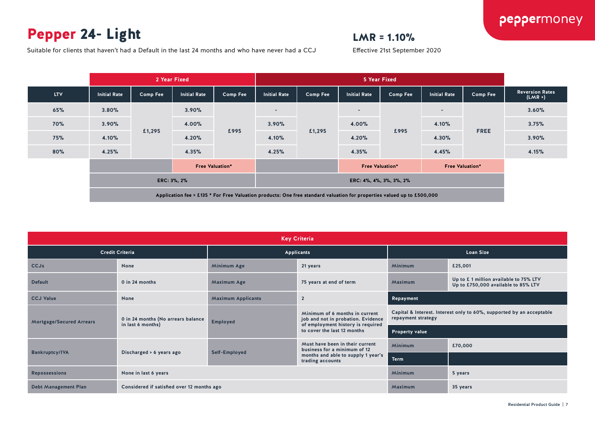### Pepper 24- Light

### $LMR = 1.10%$

Effective 21st September 2020

Suitable for clients that haven't had a Default in the last 24 months and who have never had a CCJ

|            |                        |          | 2 Year Fixed        |                                                  |                     | 5 Year Fixed                                                                                                           |                         |          |                     |                 |                                     |  |
|------------|------------------------|----------|---------------------|--------------------------------------------------|---------------------|------------------------------------------------------------------------------------------------------------------------|-------------------------|----------|---------------------|-----------------|-------------------------------------|--|
| <b>LTV</b> | <b>Initial Rate</b>    | Comp Fee | <b>Initial Rate</b> | <b>Comp Fee</b>                                  | <b>Initial Rate</b> | <b>Comp Fee</b>                                                                                                        | <b>Initial Rate</b>     | Comp Fee | <b>Initial Rate</b> | <b>Comp Fee</b> | <b>Reversion Rates</b><br>$(LMR +)$ |  |
| 65%        | 3.80%                  |          | 3.90%               |                                                  | $\sim$              |                                                                                                                        | $\sim$                  |          | $\sim$              | <b>FREE</b>     | 3.60%                               |  |
| 70%        | 3.90%                  |          | 4.00%               | £995                                             | 3.90%               |                                                                                                                        | 4.00%                   | £995     | 4.10%               |                 | 3.75%                               |  |
| <b>75%</b> | 4.10%                  | £1,295   | 4.20%               |                                                  | 4.10%               | £1,295                                                                                                                 | 4.20%                   |          | 4.30%               |                 | 3.90%                               |  |
| 80%        | 4.25%                  |          | 4.35%               |                                                  | 4.25%               |                                                                                                                        | 4.35%                   |          | 4.45%               |                 | 4.15%                               |  |
|            | <b>Free Valuation*</b> |          |                     | <b>Free Valuation*</b><br><b>Free Valuation*</b> |                     |                                                                                                                        |                         |          |                     |                 |                                     |  |
|            | ERC: 3%, 2%            |          |                     |                                                  |                     |                                                                                                                        | ERC: 4%, 4%, 3%, 3%, 2% |          |                     |                 |                                     |  |
|            |                        |          |                     |                                                  |                     | Application fee = £135 * For Free Valuation products: One free standard valuation for properties valued up to £500,000 |                         |          |                     |                 |                                     |  |

| <b>Key Criteria</b>             |                                                                                        |                                                                                                                              |                                                                 |                                                                                            |                                                                              |  |  |  |  |  |
|---------------------------------|----------------------------------------------------------------------------------------|------------------------------------------------------------------------------------------------------------------------------|-----------------------------------------------------------------|--------------------------------------------------------------------------------------------|------------------------------------------------------------------------------|--|--|--|--|--|
|                                 | <b>Credit Criteria</b>                                                                 |                                                                                                                              | Applicants                                                      | <b>Loan Size</b>                                                                           |                                                                              |  |  |  |  |  |
| <b>CCJs</b>                     | <b>None</b>                                                                            | Minimum Age                                                                                                                  | 21 years                                                        | <b>Minimum</b>                                                                             | £25,001                                                                      |  |  |  |  |  |
| <b>Default</b>                  | 0 in 24 months                                                                         | <b>Maximum Age</b><br>75 years at end of term                                                                                |                                                                 | Maximum                                                                                    | Up to £1 million available to 75% LTV<br>Up to £750,000 available to 85% LTV |  |  |  |  |  |
| <b>CCJ Value</b>                | <b>None</b>                                                                            | <b>Maximum Applicants</b>                                                                                                    | $\overline{2}$                                                  | Repayment                                                                                  |                                                                              |  |  |  |  |  |
| <b>Mortgage/Secured Arrears</b> | 0 in 24 months (No arrears balance<br>in last 6 months)                                | Minimum of 6 months in current<br>job and not in probation. Evidence<br><b>Employed</b><br>of employment history is required |                                                                 | Capital & Interest. Interest only to 60%, supported by an acceptable<br>repayment strategy |                                                                              |  |  |  |  |  |
|                                 |                                                                                        |                                                                                                                              | to cover the last 12 months                                     | <b>Property value</b>                                                                      |                                                                              |  |  |  |  |  |
|                                 |                                                                                        |                                                                                                                              | Must have been in their current<br>business for a minimum of 12 | <b>Minimum</b>                                                                             | £70,000                                                                      |  |  |  |  |  |
|                                 | Self-Employed<br><b>Bankruptcy/IVA</b><br>Discharged > 6 years ago<br>trading accounts |                                                                                                                              | months and able to supply 1 year's                              | <b>Term</b>                                                                                |                                                                              |  |  |  |  |  |
| <b>Repossessions</b>            | None in last 6 years                                                                   |                                                                                                                              |                                                                 | <b>Minimum</b>                                                                             | 5 years                                                                      |  |  |  |  |  |
| <b>Debt Management Plan</b>     | Considered if satisfied over 12 months ago                                             |                                                                                                                              |                                                                 | Maximum                                                                                    | 35 years                                                                     |  |  |  |  |  |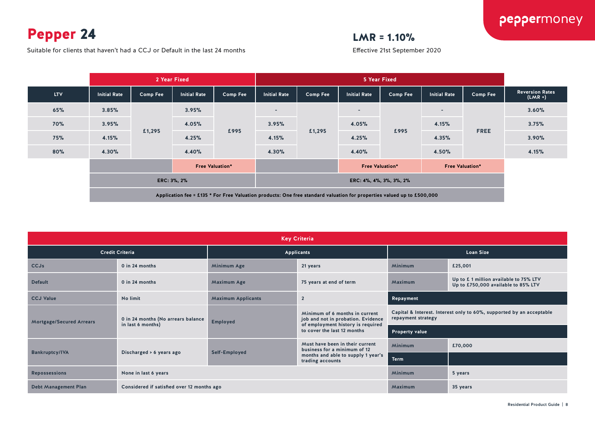Pepper 24

 $LMR = 1.10%$ 

Suitable for clients that haven't had a CCJ or Default in the last 24 months

|            |                        | 2 Year Fixed    |                     |                                                  |                                                                                                                        | 5 Year Fixed            |                     |                 |                     |                 |                                     |
|------------|------------------------|-----------------|---------------------|--------------------------------------------------|------------------------------------------------------------------------------------------------------------------------|-------------------------|---------------------|-----------------|---------------------|-----------------|-------------------------------------|
| <b>LTV</b> | <b>Initial Rate</b>    | <b>Comp Fee</b> | <b>Initial Rate</b> | <b>Comp Fee</b>                                  | <b>Initial Rate</b>                                                                                                    | <b>Comp Fee</b>         | <b>Initial Rate</b> | <b>Comp Fee</b> | <b>Initial Rate</b> | <b>Comp Fee</b> | <b>Reversion Rates</b><br>$(LMR +)$ |
| 65%        | 3.85%                  |                 | 3.95%               |                                                  | $\overline{\phantom{a}}$                                                                                               |                         | $\sim$              |                 | $\sim$              |                 | 3.60%                               |
| <b>70%</b> | 3.95%                  |                 | 4.05%               |                                                  | 3.95%                                                                                                                  |                         | 4.05%               | £995            | 4.15%               | <b>FREE</b>     | 3.75%                               |
| 75%        | 4.15%                  | £1,295          | 4.25%               | £995                                             | 4.15%                                                                                                                  | £1,295                  | 4.25%               |                 | 4.35%               |                 | 3.90%                               |
| 80%        | 4.30%                  |                 | 4.40%               |                                                  | 4.30%                                                                                                                  |                         | 4.40%               |                 | 4.50%               |                 | 4.15%                               |
|            | <b>Free Valuation*</b> |                 |                     | <b>Free Valuation*</b><br><b>Free Valuation*</b> |                                                                                                                        |                         |                     |                 |                     |                 |                                     |
|            | ERC: 3%, 2%            |                 |                     |                                                  |                                                                                                                        | ERC: 4%, 4%, 3%, 3%, 2% |                     |                 |                     |                 |                                     |
|            |                        |                 |                     |                                                  | Application fee = £135 * For Free Valuation products: One free standard valuation for properties valued up to £500,000 |                         |                     |                 |                     |                 |                                     |

| <b>Key Criteria</b>             |                                                         |                                                                                                                              |                                                                 |                    |                                                                              |  |  |  |  |  |
|---------------------------------|---------------------------------------------------------|------------------------------------------------------------------------------------------------------------------------------|-----------------------------------------------------------------|--------------------|------------------------------------------------------------------------------|--|--|--|--|--|
|                                 | <b>Credit Criteria</b>                                  |                                                                                                                              | Applicants                                                      | <b>Loan Size</b>   |                                                                              |  |  |  |  |  |
| <b>CCJs</b>                     | 0 in 24 months                                          | <b>Minimum Age</b>                                                                                                           | 21 years                                                        | <b>Minimum</b>     | £25,001                                                                      |  |  |  |  |  |
| <b>Default</b>                  | 0 in 24 months                                          | <b>Maximum Age</b><br>75 years at end of term                                                                                |                                                                 | Maximum            | Up to £1 million available to 75% LTV<br>Up to £750,000 available to 85% LTV |  |  |  |  |  |
| <b>CCJ Value</b>                | No limit                                                | <b>Maximum Applicants</b>                                                                                                    | $\overline{2}$                                                  | Repayment          |                                                                              |  |  |  |  |  |
| <b>Mortgage/Secured Arrears</b> | 0 in 24 months (No arrears balance<br>in last 6 months) | Minimum of 6 months in current<br>job and not in probation. Evidence<br><b>Employed</b><br>of employment history is required |                                                                 | repayment strategy | Capital & Interest. Interest only to 60%, supported by an acceptable         |  |  |  |  |  |
|                                 |                                                         |                                                                                                                              | to cover the last 12 months                                     | Property value     |                                                                              |  |  |  |  |  |
|                                 |                                                         |                                                                                                                              | Must have been in their current<br>business for a minimum of 12 | <b>Minimum</b>     | £70,000                                                                      |  |  |  |  |  |
| <b>Bankruptcy/IVA</b>           | Discharged > 6 years ago                                | Self-Employed                                                                                                                | months and able to supply 1 year's<br>trading accounts          | <b>Term</b>        |                                                                              |  |  |  |  |  |
| <b>Repossessions</b>            | None in last 6 years                                    |                                                                                                                              |                                                                 | <b>Minimum</b>     | 5 years                                                                      |  |  |  |  |  |
| <b>Debt Management Plan</b>     | Considered if satisfied over 12 months ago              |                                                                                                                              |                                                                 | Maximum            | 35 years                                                                     |  |  |  |  |  |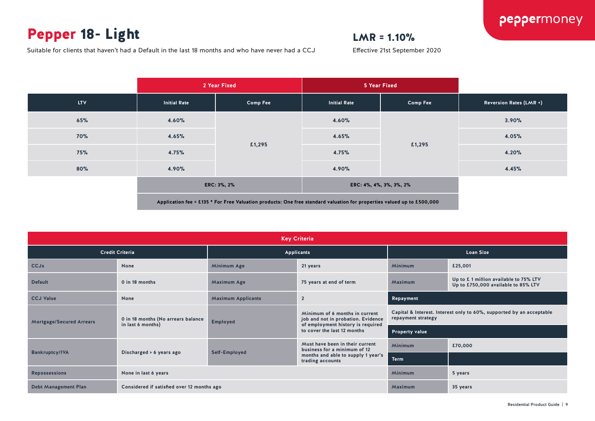### Pepper 18- Light

### $LMR = 1.10%$

Effective 21st September 2020

Suitable for clients that haven't had a Default in the last 18 months and who have never had a CCJ

|            |                     | 2 Year Fixed                                                                                                           |                         | <b>5 Year Fixed</b> |                         |
|------------|---------------------|------------------------------------------------------------------------------------------------------------------------|-------------------------|---------------------|-------------------------|
| <b>LTV</b> | <b>Initial Rate</b> | <b>Comp Fee</b>                                                                                                        | <b>Initial Rate</b>     | <b>Comp Fee</b>     | Reversion Rates (LMR +) |
| 65%        | 4.60%               |                                                                                                                        | 4.60%                   | £1,295              | 3.90%                   |
| <b>70%</b> | 4.65%               |                                                                                                                        | 4.65%                   |                     | 4.05%                   |
| <b>75%</b> | 4.75%               | £1,295                                                                                                                 | 4.75%                   |                     | 4.20%                   |
| 80%        | 4.90%               |                                                                                                                        | 4.90%                   |                     | 4.45%                   |
|            | ERC: 3%, 2%         |                                                                                                                        | ERC: 4%, 4%, 3%, 3%, 2% |                     |                         |
|            |                     | Application fee = £135 * For Free Valuation products: One free standard valuation for properties valued up to £500,000 |                         |                     |                         |

| <b>Key Criteria</b>             |                                            |                           |                                                                      |                                                                                            |                                                                              |  |  |
|---------------------------------|--------------------------------------------|---------------------------|----------------------------------------------------------------------|--------------------------------------------------------------------------------------------|------------------------------------------------------------------------------|--|--|
| <b>Credit Criteria</b>          |                                            |                           | Applicants                                                           |                                                                                            | <b>Loan Size</b>                                                             |  |  |
| <b>CCJs</b>                     | None                                       | Minimum Age               | <b>Minimum</b><br>21 years                                           |                                                                                            | £25,001                                                                      |  |  |
| <b>Default</b>                  | 0 in 18 months                             | <b>Maximum Age</b>        | 75 years at end of term                                              | Maximum                                                                                    | Up to £1 million available to 75% LTV<br>Up to £750,000 available to 85% LTV |  |  |
| <b>CCJ Value</b>                | None                                       | <b>Maximum Applicants</b> | $\overline{2}$                                                       | Repayment                                                                                  |                                                                              |  |  |
| <b>Mortgage/Secured Arrears</b> | 0 in 18 months (No arrears balance         | <b>Employed</b>           | Minimum of 6 months in current<br>job and not in probation. Evidence | Capital & Interest. Interest only to 60%, supported by an acceptable<br>repayment strategy |                                                                              |  |  |
|                                 | in last 6 months)                          |                           | of employment history is required<br>to cover the last 12 months     | Property value                                                                             |                                                                              |  |  |
|                                 |                                            |                           | Must have been in their current<br>business for a minimum of 12      | <b>Minimum</b>                                                                             | £70,000                                                                      |  |  |
| <b>Bankruptcy/IVA</b>           | Discharged > 6 years ago                   | Self-Employed             | months and able to supply 1 year's<br>trading accounts               | <b>Term</b>                                                                                |                                                                              |  |  |
| <b>Repossessions</b>            | None in last 6 years                       |                           |                                                                      | <b>Minimum</b>                                                                             | 5 years                                                                      |  |  |
| <b>Debt Management Plan</b>     | Considered if satisfied over 12 months ago |                           |                                                                      | Maximum                                                                                    | 35 years                                                                     |  |  |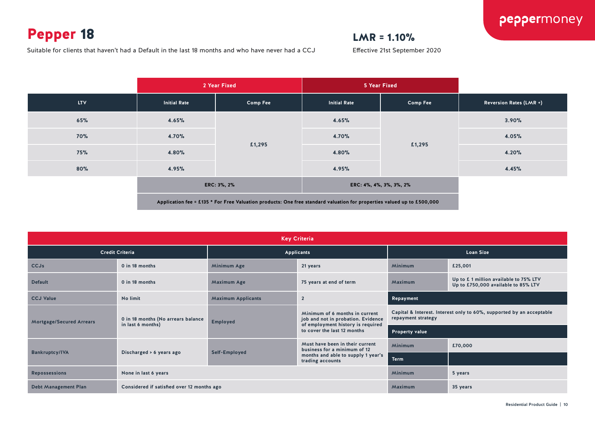### Pepper 18

### $LMR = 1.10%$

Effective 21st September 2020

Suitable for clients that haven't had a Default in the last 18 months and who have never had a CCJ

|            | 2 Year Fixed        |                                                                                                                        | 5 Year Fixed            |                 |                                |
|------------|---------------------|------------------------------------------------------------------------------------------------------------------------|-------------------------|-----------------|--------------------------------|
| <b>LTV</b> | <b>Initial Rate</b> | <b>Comp Fee</b>                                                                                                        | <b>Initial Rate</b>     | <b>Comp Fee</b> | <b>Reversion Rates (LMR +)</b> |
| 65%        | 4.65%               |                                                                                                                        | 4.65%                   |                 | 3.90%                          |
| <b>70%</b> | 4.70%               |                                                                                                                        | 4.70%                   | £1,295          | 4.05%                          |
| 75%        | 4.80%               | £1,295                                                                                                                 | 4.80%                   |                 | 4.20%                          |
| 80%        | 4.95%               |                                                                                                                        | 4.95%                   |                 | 4.45%                          |
|            | ERC: 3%, 2%         |                                                                                                                        | ERC: 4%, 4%, 3%, 3%, 2% |                 |                                |
|            |                     | Application fee = £135 * For Free Valuation products: One free standard valuation for properties valued up to £500,000 |                         |                 |                                |

| <b>Key Criteria</b>             |                                            |                           |                                                                      |                                                                                            |                                                                               |  |  |  |
|---------------------------------|--------------------------------------------|---------------------------|----------------------------------------------------------------------|--------------------------------------------------------------------------------------------|-------------------------------------------------------------------------------|--|--|--|
|                                 | <b>Credit Criteria</b>                     |                           | <b>Applicants</b>                                                    |                                                                                            | <b>Loan Size</b>                                                              |  |  |  |
| <b>CCJs</b>                     | 0 in 18 months                             | Minimum Age               | 21 years                                                             | <b>Minimum</b>                                                                             | £25,001                                                                       |  |  |  |
| <b>Default</b>                  | 0 in 18 months                             | <b>Maximum Age</b>        | 75 years at end of term                                              | Maximum                                                                                    | Up to £ 1 million available to 75% LTV<br>Up to £750,000 available to 85% LTV |  |  |  |
| <b>CCJ Value</b>                | No limit                                   | <b>Maximum Applicants</b> | $\overline{2}$                                                       | Repayment                                                                                  |                                                                               |  |  |  |
| <b>Mortgage/Secured Arrears</b> | 0 in 18 months (No arrears balance         | <b>Employed</b>           | Minimum of 6 months in current<br>job and not in probation. Evidence | Capital & Interest. Interest only to 60%, supported by an acceptable<br>repayment strategy |                                                                               |  |  |  |
|                                 | in last 6 months)                          |                           | of employment history is required<br>to cover the last 12 months     | <b>Property value</b>                                                                      |                                                                               |  |  |  |
|                                 |                                            |                           | Must have been in their current<br>business for a minimum of 12      | <b>Minimum</b>                                                                             | £70,000                                                                       |  |  |  |
| <b>Bankruptcy/IVA</b>           | Discharged > 6 years ago                   | Self-Employed             | months and able to supply 1 year's<br>trading accounts               | <b>Term</b>                                                                                |                                                                               |  |  |  |
| <b>Repossessions</b>            | None in last 6 years                       |                           |                                                                      | <b>Minimum</b>                                                                             | 5 years                                                                       |  |  |  |
| <b>Debt Management Plan</b>     | Considered if satisfied over 12 months ago |                           |                                                                      | Maximum                                                                                    | 35 years                                                                      |  |  |  |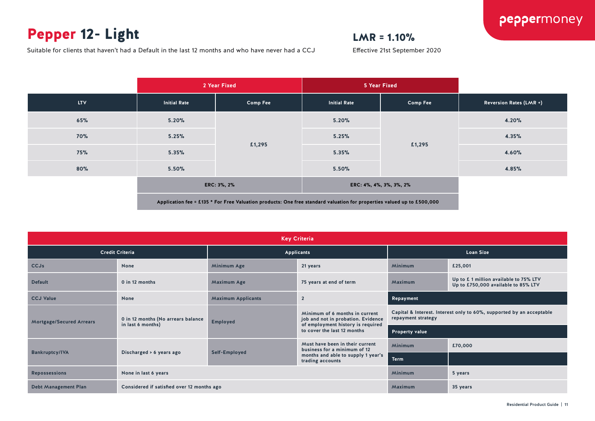### Pepper 12- Light

### $LMR = 1.10%$

Effective 21st September 2020

Suitable for clients that haven't had a Default in the last 12 months and who have never had a CCJ

|            | 2 Year Fixed        |                 | 5 Year Fixed        |                         |                                |
|------------|---------------------|-----------------|---------------------|-------------------------|--------------------------------|
| LTV        | <b>Initial Rate</b> | <b>Comp Fee</b> | <b>Initial Rate</b> | <b>Comp Fee</b>         | <b>Reversion Rates (LMR +)</b> |
| 65%        | 5.20%               |                 | 5.20%               | £1,295                  | 4.20%                          |
| <b>70%</b> | 5.25%               |                 | 5.25%               |                         | 4.35%                          |
| 75%        | 5.35%               | £1,295          | 5.35%               |                         | 4.60%                          |
| 80%        | 5.50%               |                 | 5.50%               |                         | 4.85%                          |
|            |                     | ERC: 3%, 2%     |                     | ERC: 4%, 4%, 3%, 3%, 2% |                                |
|            |                     |                 |                     |                         |                                |

| <b>Key Criteria</b>             |                                            |                           |                                                                                                                           |                                                                                            |                                                                              |  |  |
|---------------------------------|--------------------------------------------|---------------------------|---------------------------------------------------------------------------------------------------------------------------|--------------------------------------------------------------------------------------------|------------------------------------------------------------------------------|--|--|
| <b>Credit Criteria</b>          |                                            |                           | Applicants                                                                                                                |                                                                                            | <b>Loan Size</b>                                                             |  |  |
| <b>CCJs</b>                     | <b>None</b>                                | Minimum Age               | 21 years                                                                                                                  | Minimum                                                                                    | £25,001                                                                      |  |  |
| <b>Default</b>                  | 0 in 12 months                             | <b>Maximum Age</b>        | 75 years at end of term                                                                                                   | Maximum                                                                                    | Up to £1 million available to 75% LTV<br>Up to £750,000 available to 85% LTV |  |  |
| <b>CCJ Value</b>                | None                                       | <b>Maximum Applicants</b> | $\overline{2}$                                                                                                            | Repayment                                                                                  |                                                                              |  |  |
| <b>Mortgage/Secured Arrears</b> | 0 in 12 months (No arrears balance         | <b>Employed</b>           | Minimum of 6 months in current<br>job and not in probation. Evidence<br>of employment history is required                 | Capital & Interest. Interest only to 60%, supported by an acceptable<br>repayment strategy |                                                                              |  |  |
|                                 | in last 6 months)                          |                           | to cover the last 12 months                                                                                               | <b>Property value</b>                                                                      |                                                                              |  |  |
|                                 |                                            |                           | Must have been in their current<br>business for a minimum of 12<br>months and able to supply 1 year's<br>trading accounts | Minimum                                                                                    | £70,000                                                                      |  |  |
| <b>Bankruptcy/IVA</b>           | Discharged > 6 years ago                   | Self-Employed             |                                                                                                                           | <b>Term</b>                                                                                |                                                                              |  |  |
| <b>Repossessions</b>            | None in last 6 years                       |                           |                                                                                                                           | Minimum                                                                                    | 5 years                                                                      |  |  |
| <b>Debt Management Plan</b>     | Considered if satisfied over 12 months ago |                           |                                                                                                                           | Maximum                                                                                    | 35 years                                                                     |  |  |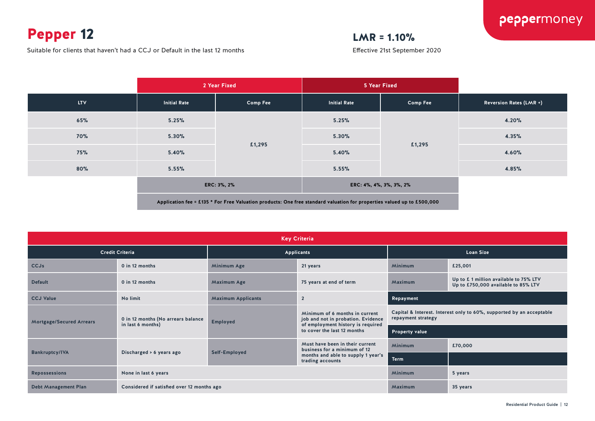### Pepper 12

Suitable for clients that haven't had a CCJ or Default in the last 12 months

### $LMR = 1.10%$

|            |                     | 2 Year Fixed                                                                                                           | 5 Year Fixed            |                 |                                |
|------------|---------------------|------------------------------------------------------------------------------------------------------------------------|-------------------------|-----------------|--------------------------------|
| <b>LTV</b> | <b>Initial Rate</b> | <b>Comp Fee</b>                                                                                                        | <b>Initial Rate</b>     | <b>Comp Fee</b> | <b>Reversion Rates (LMR +)</b> |
| 65%        | 5.25%               |                                                                                                                        | 5.25%                   |                 | 4.20%                          |
| <b>70%</b> | 5.30%               |                                                                                                                        | 5.30%                   | £1,295          | 4.35%                          |
| <b>75%</b> | 5.40%               | £1,295                                                                                                                 | 5.40%                   |                 | 4.60%                          |
| 80%        | 5.55%               |                                                                                                                        | 5.55%                   |                 | 4.85%                          |
|            | ERC: 3%, 2%         |                                                                                                                        | ERC: 4%, 4%, 3%, 3%, 2% |                 |                                |
|            |                     | Application fee = £135 * For Free Valuation products: One free standard valuation for properties valued up to £500,000 |                         |                 |                                |

| <b>Key Criteria</b>             |                                            |                           |                                                                                                           |                                                                                            |                                                                              |  |  |  |
|---------------------------------|--------------------------------------------|---------------------------|-----------------------------------------------------------------------------------------------------------|--------------------------------------------------------------------------------------------|------------------------------------------------------------------------------|--|--|--|
| <b>Credit Criteria</b>          |                                            |                           | <b>Applicants</b>                                                                                         | <b>Loan Size</b>                                                                           |                                                                              |  |  |  |
| <b>CCJs</b>                     | 0 in 12 months                             | Minimum Age               | 21 years                                                                                                  | <b>Minimum</b>                                                                             | £25,001                                                                      |  |  |  |
| <b>Default</b>                  | 0 in 12 months                             | <b>Maximum Age</b>        | 75 years at end of term                                                                                   | Maximum                                                                                    | Up to £1 million available to 75% LTV<br>Up to £750,000 available to 85% LTV |  |  |  |
| <b>CCJ Value</b>                | No limit                                   | <b>Maximum Applicants</b> | $\overline{2}$                                                                                            | Repayment                                                                                  |                                                                              |  |  |  |
| <b>Mortgage/Secured Arrears</b> | 0 in 12 months (No arrears balance         | <b>Employed</b>           | Minimum of 6 months in current<br>job and not in probation. Evidence<br>of employment history is required | Capital & Interest. Interest only to 60%, supported by an acceptable<br>repayment strategy |                                                                              |  |  |  |
|                                 | in last 6 months)                          |                           | to cover the last 12 months                                                                               | <b>Property value</b>                                                                      |                                                                              |  |  |  |
|                                 |                                            |                           | Must have been in their current<br>business for a minimum of 12                                           | <b>Minimum</b>                                                                             | £70,000                                                                      |  |  |  |
| <b>Bankruptcy/IVA</b>           | Discharged > 6 years ago                   | Self-Employed             | months and able to supply 1 year's<br>trading accounts                                                    | <b>Term</b>                                                                                |                                                                              |  |  |  |
| <b>Repossessions</b>            | None in last 6 years                       |                           |                                                                                                           |                                                                                            | 5 years                                                                      |  |  |  |
| <b>Debt Management Plan</b>     | Considered if satisfied over 12 months ago |                           |                                                                                                           | Maximum                                                                                    | 35 years                                                                     |  |  |  |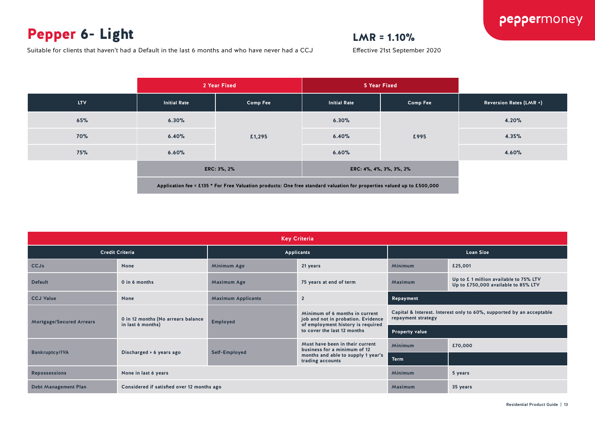### Pepper 6- Light

### peppermoney

### $LMR = 1.10%$

Suitable for clients that haven't had a Default in the last 6 months and who have never had a CCJ

|            |                     | 2 Year Fixed                                                                                                           |                         | 5 Year Fixed    |                                |
|------------|---------------------|------------------------------------------------------------------------------------------------------------------------|-------------------------|-----------------|--------------------------------|
| <b>LTV</b> | <b>Initial Rate</b> | <b>Comp Fee</b>                                                                                                        | <b>Initial Rate</b>     | <b>Comp Fee</b> | <b>Reversion Rates (LMR +)</b> |
| 65%        | 6.30%               |                                                                                                                        | 6.30%                   |                 | 4.20%                          |
| <b>70%</b> | 6.40%               | £1,295                                                                                                                 | 6.40%                   | £995            | 4.35%                          |
| 75%        | 6.60%               |                                                                                                                        | 6.60%                   |                 | 4.60%                          |
|            | ERC: 3%, 2%         |                                                                                                                        | ERC: 4%, 4%, 3%, 3%, 2% |                 |                                |
|            |                     | Application fee = £135 * For Free Valuation products: One free standard valuation for properties valued up to £500,000 |                         |                 |                                |

| <b>Key Criteria</b>             |                                            |                           |                                                                      |                                                                                            |                                                                              |  |  |  |
|---------------------------------|--------------------------------------------|---------------------------|----------------------------------------------------------------------|--------------------------------------------------------------------------------------------|------------------------------------------------------------------------------|--|--|--|
| <b>Credit Criteria</b>          |                                            |                           | Applicants                                                           | <b>Loan Size</b>                                                                           |                                                                              |  |  |  |
| <b>CCJs</b>                     | <b>None</b>                                | Minimum Age               | <b>Minimum</b><br>21 years                                           |                                                                                            | £25,001                                                                      |  |  |  |
| <b>Default</b>                  | 0 in 6 months                              | <b>Maximum Age</b>        | 75 years at end of term                                              | Maximum                                                                                    | Up to £1 million available to 75% LTV<br>Up to £750,000 available to 85% LTV |  |  |  |
| <b>CCJ Value</b>                | <b>None</b>                                | <b>Maximum Applicants</b> | $\overline{2}$                                                       | Repayment                                                                                  |                                                                              |  |  |  |
| <b>Mortgage/Secured Arrears</b> | 0 in 12 months (No arrears balance         | <b>Employed</b>           | Minimum of 6 months in current<br>job and not in probation. Evidence | Capital & Interest. Interest only to 60%, supported by an acceptable<br>repayment strategy |                                                                              |  |  |  |
|                                 | in last 6 months)                          |                           | of employment history is required<br>to cover the last 12 months     | <b>Property value</b>                                                                      |                                                                              |  |  |  |
|                                 |                                            |                           | Must have been in their current<br>business for a minimum of 12      | <b>Minimum</b>                                                                             | £70,000                                                                      |  |  |  |
| <b>Bankruptcy/IVA</b>           | Discharged > 6 years ago                   | Self-Employed             | months and able to supply 1 year's<br>trading accounts               | <b>Term</b>                                                                                |                                                                              |  |  |  |
| <b>Repossessions</b>            | None in last 6 years                       |                           |                                                                      |                                                                                            | 5 years                                                                      |  |  |  |
| <b>Debt Management Plan</b>     | Considered if satisfied over 12 months ago |                           |                                                                      | Maximum                                                                                    | 35 years                                                                     |  |  |  |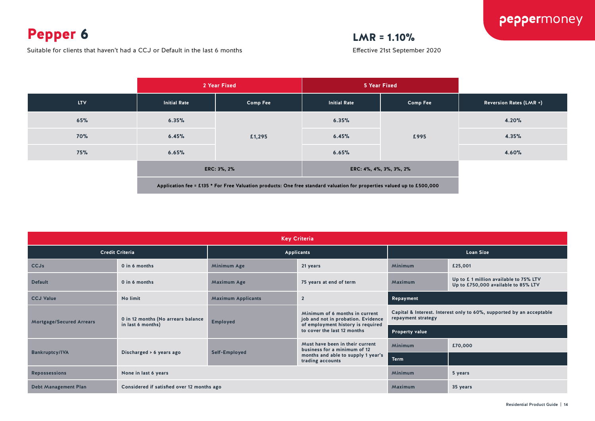Pepper 6

Suitable for clients that haven't had a CCJ or Default in the last 6 months

### $LMR = 1.10%$

|            |                     | 2 Year Fixed                                                                                                           | 5 Year Fixed            |                 |                                |
|------------|---------------------|------------------------------------------------------------------------------------------------------------------------|-------------------------|-----------------|--------------------------------|
| <b>LTV</b> | <b>Initial Rate</b> | <b>Comp Fee</b>                                                                                                        | <b>Initial Rate</b>     | <b>Comp Fee</b> | <b>Reversion Rates (LMR +)</b> |
| 65%        | 6.35%               |                                                                                                                        | 6.35%                   |                 | 4.20%                          |
| <b>70%</b> | 6.45%               | £1,295                                                                                                                 | 6.45%                   | £995            | 4.35%                          |
| 75%        | 6.65%               |                                                                                                                        | 6.65%                   |                 | 4.60%                          |
|            | ERC: 3%, 2%         |                                                                                                                        | ERC: 4%, 4%, 3%, 3%, 2% |                 |                                |
|            |                     | Application fee = £135 * For Free Valuation products: One free standard valuation for properties valued up to £500,000 |                         |                 |                                |

| <b>Key Criteria</b>             |                                            |                           |                                                                                                                                          |                                                                                            |                                                                               |  |  |  |
|---------------------------------|--------------------------------------------|---------------------------|------------------------------------------------------------------------------------------------------------------------------------------|--------------------------------------------------------------------------------------------|-------------------------------------------------------------------------------|--|--|--|
| <b>Credit Criteria</b>          |                                            |                           | Applicants                                                                                                                               |                                                                                            | <b>Loan Size</b>                                                              |  |  |  |
| <b>CCJs</b>                     | 0 in 6 months                              | Minimum Age               | 21 years                                                                                                                                 | <b>Minimum</b>                                                                             | £25,001                                                                       |  |  |  |
| <b>Default</b>                  | 0 in 6 months                              | <b>Maximum Age</b>        | 75 years at end of term                                                                                                                  | Maximum                                                                                    | Up to £ 1 million available to 75% LTV<br>Up to £750,000 available to 85% LTV |  |  |  |
| <b>CCJ Value</b>                | No limit                                   | <b>Maximum Applicants</b> | $\overline{2}$                                                                                                                           | Repayment                                                                                  |                                                                               |  |  |  |
| <b>Mortgage/Secured Arrears</b> | 0 in 12 months (No arrears balance         | <b>Employed</b>           | Minimum of 6 months in current<br>job and not in probation. Evidence<br>of employment history is required<br>to cover the last 12 months | Capital & Interest. Interest only to 60%, supported by an acceptable<br>repayment strategy |                                                                               |  |  |  |
|                                 | in last 6 months)                          |                           |                                                                                                                                          | <b>Property value</b>                                                                      |                                                                               |  |  |  |
|                                 | Discharged > 6 years ago                   | Self-Employed             | Must have been in their current<br>business for a minimum of 12<br>months and able to supply 1 year's<br>trading accounts                | <b>Minimum</b>                                                                             | £70,000                                                                       |  |  |  |
| <b>Bankruptcy/IVA</b>           |                                            |                           |                                                                                                                                          | <b>Term</b>                                                                                |                                                                               |  |  |  |
| <b>Repossessions</b>            | None in last 6 years                       |                           |                                                                                                                                          | <b>Minimum</b>                                                                             | 5 years                                                                       |  |  |  |
| <b>Debt Management Plan</b>     | Considered if satisfied over 12 months ago |                           |                                                                                                                                          | Maximum                                                                                    | 35 years                                                                      |  |  |  |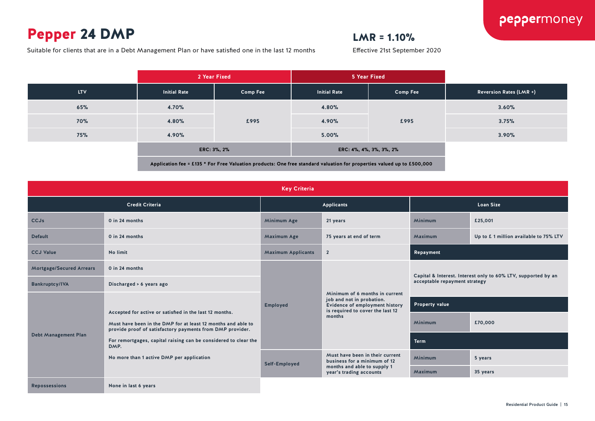### Pepper 24 DMP

Suitable for clients that are in a Debt Management Plan or have satisfied one in the last 12 months

### $LMR = 1.10%$

|            | 2 Year Fixed                                                                                                           |          | 5 Year Fixed            |                 |                                |
|------------|------------------------------------------------------------------------------------------------------------------------|----------|-------------------------|-----------------|--------------------------------|
| <b>LTV</b> | <b>Initial Rate</b>                                                                                                    | Comp Fee | <b>Initial Rate</b>     | <b>Comp Fee</b> | <b>Reversion Rates (LMR +)</b> |
| 65%        | 4.70%                                                                                                                  |          | 4.80%                   | £995            | 3.60%                          |
| <b>70%</b> | 4.80%                                                                                                                  | £995     | 4.90%                   |                 | 3.75%                          |
| 75%        | 4.90%                                                                                                                  |          | 5.00%                   |                 | 3.90%                          |
|            | ERC: 3%, 2%                                                                                                            |          | ERC: 4%, 4%, 3%, 3%, 2% |                 |                                |
|            | Application fee = £135 * For Free Valuation products: One free standard valuation for properties valued up to £500,000 |          |                         |                 |                                |

| <b>Key Criteria</b>             |                                                                                                                                                                                                                                                                                                              |                           |                                                                                                                                                    |                                                                                                |                                       |  |  |
|---------------------------------|--------------------------------------------------------------------------------------------------------------------------------------------------------------------------------------------------------------------------------------------------------------------------------------------------------------|---------------------------|----------------------------------------------------------------------------------------------------------------------------------------------------|------------------------------------------------------------------------------------------------|---------------------------------------|--|--|
| <b>Credit Criteria</b>          |                                                                                                                                                                                                                                                                                                              | <b>Applicants</b>         |                                                                                                                                                    | <b>Loan Size</b>                                                                               |                                       |  |  |
| <b>CCJs</b>                     | 0 in 24 months                                                                                                                                                                                                                                                                                               | Minimum Age               | 21 years                                                                                                                                           | Minimum                                                                                        | £25,001                               |  |  |
| <b>Default</b>                  | 0 in 24 months                                                                                                                                                                                                                                                                                               | Maximum Age               | 75 years at end of term                                                                                                                            | Maximum                                                                                        | Up to £1 million available to 75% LTV |  |  |
| <b>CCJ Value</b>                | No limit                                                                                                                                                                                                                                                                                                     | <b>Maximum Applicants</b> | $\overline{2}$                                                                                                                                     |                                                                                                | Repayment                             |  |  |
| <b>Mortgage/Secured Arrears</b> | 0 in 24 months                                                                                                                                                                                                                                                                                               |                           | Minimum of 6 months in current<br>job and not in probation.<br><b>Evidence of employment history</b><br>is required to cover the last 12<br>months | Capital & Interest. Interest only to 60% LTV, supported by an<br>acceptable repayment strategy |                                       |  |  |
| <b>Bankruptcy/IVA</b>           | Discharged > 6 years ago                                                                                                                                                                                                                                                                                     |                           |                                                                                                                                                    |                                                                                                |                                       |  |  |
| <b>Debt Management Plan</b>     | Accepted for active or satisfied in the last 12 months.<br>Must have been in the DMP for at least 12 months and able to<br>provide proof of satisfactory payments from DMP provider.<br>For remortgages, capital raising can be considered to clear the<br>DMP.<br>No more than 1 active DMP per application | <b>Employed</b>           |                                                                                                                                                    | <b>Property value</b>                                                                          |                                       |  |  |
|                                 |                                                                                                                                                                                                                                                                                                              |                           |                                                                                                                                                    | Minimum                                                                                        | £70,000                               |  |  |
|                                 |                                                                                                                                                                                                                                                                                                              |                           |                                                                                                                                                    | <b>Term</b>                                                                                    |                                       |  |  |
|                                 |                                                                                                                                                                                                                                                                                                              | Self-Employed             | Must have been in their current<br>business for a minimum of 12                                                                                    | Minimum                                                                                        | 5 years                               |  |  |
|                                 |                                                                                                                                                                                                                                                                                                              |                           | months and able to supply 1<br>year's trading accounts                                                                                             | Maximum                                                                                        | 35 years                              |  |  |
| <b>Repossessions</b>            | None in last 6 years                                                                                                                                                                                                                                                                                         |                           |                                                                                                                                                    |                                                                                                |                                       |  |  |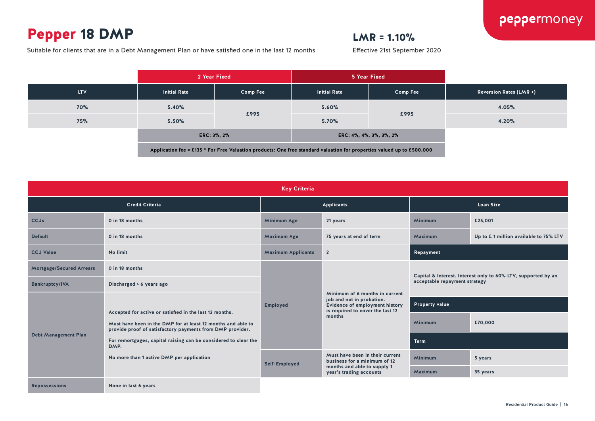### Pepper 18 DMP

### $LMR = 1.10%$

Effective 21st September 2020

Suitable for clients that are in a Debt Management Plan or have satisfied one in the last 12 months

#### **2 Year Fixed 5 Year Fixed LTV Initial Rate Comp Fee Initial Rate Comp Fee Reversion Rates (LMR +) 70% 5.40% £995 5.60% £995 4.05% 75% 5.50% 5.70% 4.20% ERC: 3%, 2% ERC: 4%, 4%, 3%, 3%, 2% Application fee = £135 \* For Free Valuation products: One free standard valuation for properties valued up to £500,000**

| <b>Key Criteria</b>             |                                                                                                                                                                                                                                                                                                              |                           |                                                                                                                                                    |                                                                                                |                                       |  |
|---------------------------------|--------------------------------------------------------------------------------------------------------------------------------------------------------------------------------------------------------------------------------------------------------------------------------------------------------------|---------------------------|----------------------------------------------------------------------------------------------------------------------------------------------------|------------------------------------------------------------------------------------------------|---------------------------------------|--|
| <b>Credit Criteria</b>          |                                                                                                                                                                                                                                                                                                              | <b>Applicants</b>         |                                                                                                                                                    | <b>Loan Size</b>                                                                               |                                       |  |
| CCJs                            | 0 in 18 months                                                                                                                                                                                                                                                                                               | <b>Minimum Age</b>        | 21 years                                                                                                                                           | <b>Minimum</b>                                                                                 | £25,001                               |  |
| <b>Default</b>                  | 0 in 18 months                                                                                                                                                                                                                                                                                               | <b>Maximum Age</b>        | 75 years at end of term                                                                                                                            | Maximum                                                                                        | Up to £1 million available to 75% LTV |  |
| <b>CCJ Value</b>                | <b>No limit</b>                                                                                                                                                                                                                                                                                              | <b>Maximum Applicants</b> | $\overline{2}$                                                                                                                                     | Repayment                                                                                      |                                       |  |
| <b>Mortgage/Secured Arrears</b> | 0 in 18 months                                                                                                                                                                                                                                                                                               |                           | Minimum of 6 months in current<br>job and not in probation.<br><b>Evidence of employment history</b><br>is required to cover the last 12<br>months | Capital & Interest. Interest only to 60% LTV, supported by an<br>acceptable repayment strategy |                                       |  |
| <b>Bankruptcy/IVA</b>           | Discharged > 6 years ago                                                                                                                                                                                                                                                                                     |                           |                                                                                                                                                    |                                                                                                |                                       |  |
| <b>Debt Management Plan</b>     | Accepted for active or satisfied in the last 12 months.<br>Must have been in the DMP for at least 12 months and able to<br>provide proof of satisfactory payments from DMP provider.<br>For remortgages, capital raising can be considered to clear the<br>DMP.<br>No more than 1 active DMP per application | Employed                  |                                                                                                                                                    | <b>Property value</b>                                                                          |                                       |  |
|                                 |                                                                                                                                                                                                                                                                                                              |                           |                                                                                                                                                    | Minimum                                                                                        | £70,000                               |  |
|                                 |                                                                                                                                                                                                                                                                                                              |                           |                                                                                                                                                    | <b>Term</b>                                                                                    |                                       |  |
|                                 |                                                                                                                                                                                                                                                                                                              | Self-Employed             | Must have been in their current<br>business for a minimum of 12                                                                                    | <b>Minimum</b>                                                                                 | 5 years                               |  |
|                                 |                                                                                                                                                                                                                                                                                                              |                           | months and able to supply 1<br>year's trading accounts                                                                                             | Maximum                                                                                        | 35 years                              |  |
| <b>Repossessions</b>            | None in last 6 years                                                                                                                                                                                                                                                                                         |                           |                                                                                                                                                    |                                                                                                |                                       |  |